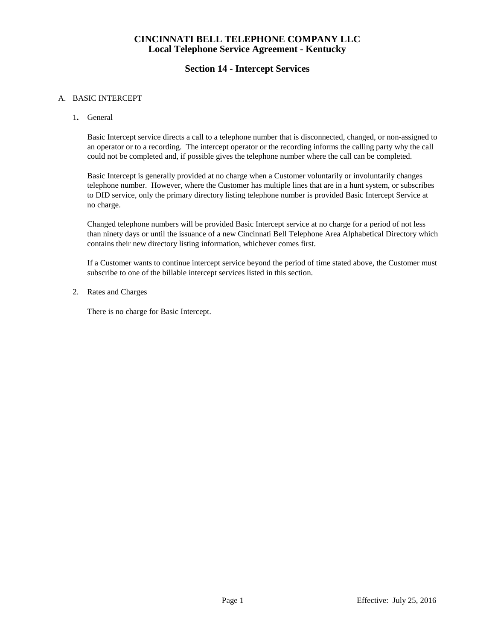### **Section 14 - Intercept Services**

#### A. BASIC INTERCEPT

1**.** General

Basic Intercept service directs a call to a telephone number that is disconnected, changed, or non-assigned to an operator or to a recording. The intercept operator or the recording informs the calling party why the call could not be completed and, if possible gives the telephone number where the call can be completed.

Basic Intercept is generally provided at no charge when a Customer voluntarily or involuntarily changes telephone number. However, where the Customer has multiple lines that are in a hunt system, or subscribes to DID service, only the primary directory listing telephone number is provided Basic Intercept Service at no charge.

Changed telephone numbers will be provided Basic Intercept service at no charge for a period of not less than ninety days or until the issuance of a new Cincinnati Bell Telephone Area Alphabetical Directory which contains their new directory listing information, whichever comes first.

If a Customer wants to continue intercept service beyond the period of time stated above, the Customer must subscribe to one of the billable intercept services listed in this section.

2. Rates and Charges

There is no charge for Basic Intercept.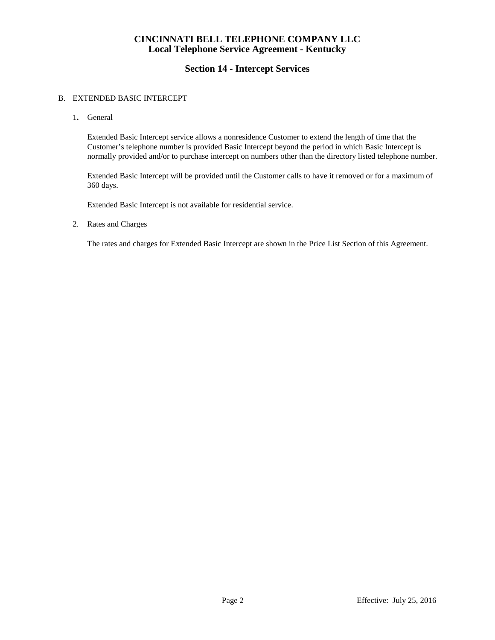## **Section 14 - Intercept Services**

#### B. EXTENDED BASIC INTERCEPT

1**.** General

Extended Basic Intercept service allows a nonresidence Customer to extend the length of time that the Customer's telephone number is provided Basic Intercept beyond the period in which Basic Intercept is normally provided and/or to purchase intercept on numbers other than the directory listed telephone number.

Extended Basic Intercept will be provided until the Customer calls to have it removed or for a maximum of 360 days.

Extended Basic Intercept is not available for residential service.

2. Rates and Charges

The rates and charges for Extended Basic Intercept are shown in the Price List Section of this Agreement.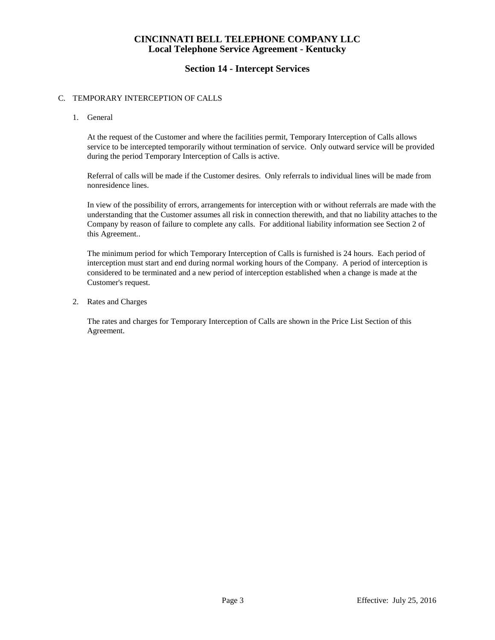### **Section 14 - Intercept Services**

#### C. TEMPORARY INTERCEPTION OF CALLS

1. General

At the request of the Customer and where the facilities permit, Temporary Interception of Calls allows service to be intercepted temporarily without termination of service. Only outward service will be provided during the period Temporary Interception of Calls is active.

Referral of calls will be made if the Customer desires. Only referrals to individual lines will be made from nonresidence lines.

In view of the possibility of errors, arrangements for interception with or without referrals are made with the understanding that the Customer assumes all risk in connection therewith, and that no liability attaches to the Company by reason of failure to complete any calls. For additional liability information see Section 2 of this Agreement..

The minimum period for which Temporary Interception of Calls is furnished is 24 hours. Each period of interception must start and end during normal working hours of the Company. A period of interception is considered to be terminated and a new period of interception established when a change is made at the Customer's request.

2. Rates and Charges

The rates and charges for Temporary Interception of Calls are shown in the Price List Section of this Agreement.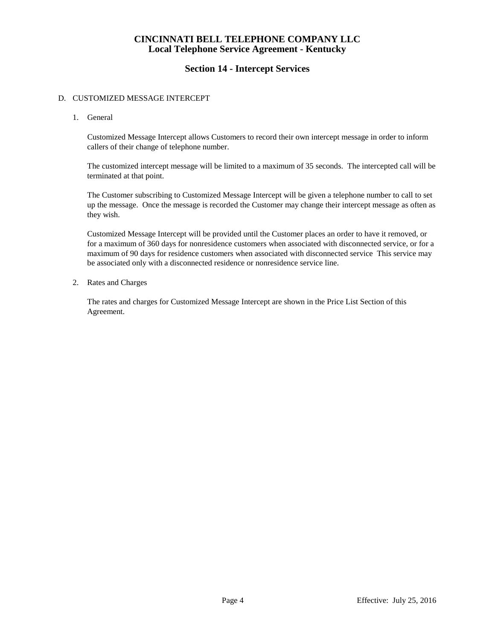### **Section 14 - Intercept Services**

#### D. CUSTOMIZED MESSAGE INTERCEPT

1. General

Customized Message Intercept allows Customers to record their own intercept message in order to inform callers of their change of telephone number.

The customized intercept message will be limited to a maximum of 35 seconds. The intercepted call will be terminated at that point.

The Customer subscribing to Customized Message Intercept will be given a telephone number to call to set up the message. Once the message is recorded the Customer may change their intercept message as often as they wish.

Customized Message Intercept will be provided until the Customer places an order to have it removed, or for a maximum of 360 days for nonresidence customers when associated with disconnected service, or for a maximum of 90 days for residence customers when associated with disconnected service This service may be associated only with a disconnected residence or nonresidence service line.

2. Rates and Charges

The rates and charges for Customized Message Intercept are shown in the Price List Section of this Agreement.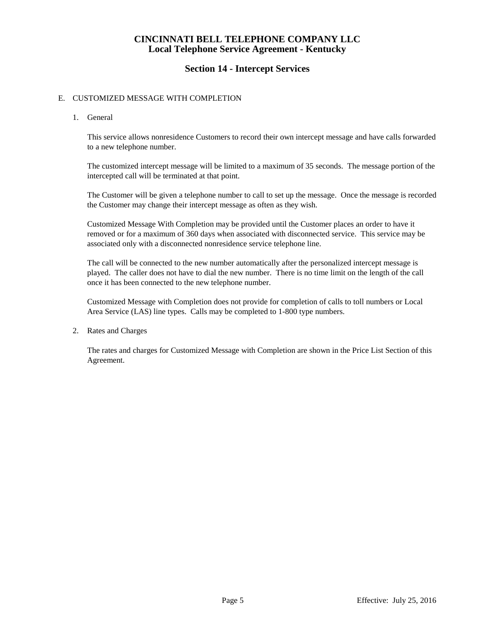### **Section 14 - Intercept Services**

### E. CUSTOMIZED MESSAGE WITH COMPLETION

1. General

This service allows nonresidence Customers to record their own intercept message and have calls forwarded to a new telephone number.

The customized intercept message will be limited to a maximum of 35 seconds. The message portion of the intercepted call will be terminated at that point.

The Customer will be given a telephone number to call to set up the message. Once the message is recorded the Customer may change their intercept message as often as they wish.

Customized Message With Completion may be provided until the Customer places an order to have it removed or for a maximum of 360 days when associated with disconnected service. This service may be associated only with a disconnected nonresidence service telephone line.

The call will be connected to the new number automatically after the personalized intercept message is played. The caller does not have to dial the new number. There is no time limit on the length of the call once it has been connected to the new telephone number.

Customized Message with Completion does not provide for completion of calls to toll numbers or Local Area Service (LAS) line types. Calls may be completed to 1-800 type numbers.

2. Rates and Charges

The rates and charges for Customized Message with Completion are shown in the Price List Section of this Agreement.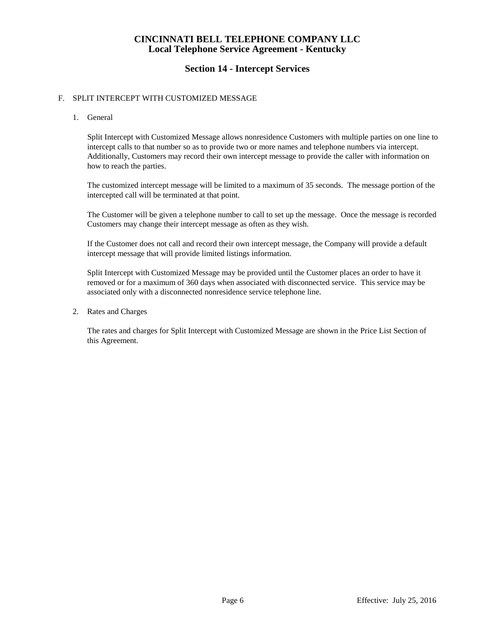### **Section 14 - Intercept Services**

### F. SPLIT INTERCEPT WITH CUSTOMIZED MESSAGE

1. General

Split Intercept with Customized Message allows nonresidence Customers with multiple parties on one line to intercept calls to that number so as to provide two or more names and telephone numbers via intercept. Additionally, Customers may record their own intercept message to provide the caller with information on how to reach the parties.

The customized intercept message will be limited to a maximum of 35 seconds. The message portion of the intercepted call will be terminated at that point.

The Customer will be given a telephone number to call to set up the message. Once the message is recorded Customers may change their intercept message as often as they wish.

If the Customer does not call and record their own intercept message, the Company will provide a default intercept message that will provide limited listings information.

Split Intercept with Customized Message may be provided until the Customer places an order to have it removed or for a maximum of 360 days when associated with disconnected service. This service may be associated only with a disconnected nonresidence service telephone line.

2. Rates and Charges

The rates and charges for Split Intercept with Customized Message are shown in the Price List Section of this Agreement.